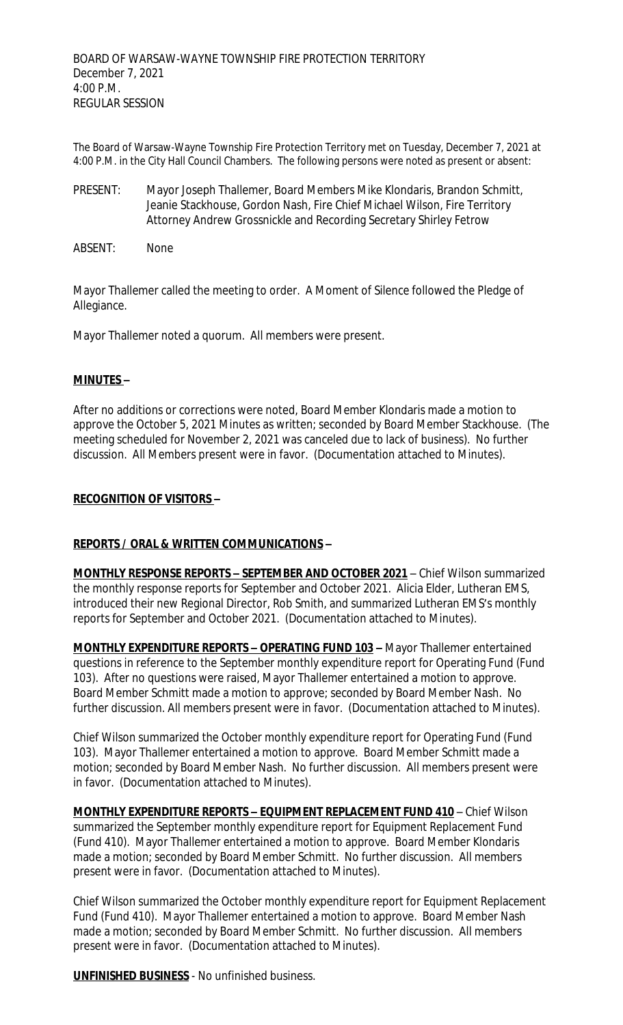The Board of Warsaw-Wayne Township Fire Protection Territory met on Tuesday, December 7, 2021 at 4:00 P.M. in the City Hall Council Chambers. The following persons were noted as present or absent:

- PRESENT: Mayor Joseph Thallemer, Board Members Mike Klondaris, Brandon Schmitt, Jeanie Stackhouse, Gordon Nash, Fire Chief Michael Wilson, Fire Territory Attorney Andrew Grossnickle and Recording Secretary Shirley Fetrow
- ABSENT: None

Mayor Thallemer called the meeting to order. A Moment of Silence followed the Pledge of Allegiance.

Mayor Thallemer noted a quorum. All members were present.

## **MINUTES –**

After no additions or corrections were noted, Board Member Klondaris made a motion to approve the October 5, 2021 Minutes as written; seconded by Board Member Stackhouse. (The meeting scheduled for November 2, 2021 was canceled due to lack of business). No further discussion. All Members present were in favor. (Documentation attached to Minutes).

#### **RECOGNITION OF VISITORS –**

## **REPORTS / ORAL & WRITTEN COMMUNICATIONS –**

**MONTHLY RESPONSE REPORTS – SEPTEMBER AND OCTOBER 2021** – Chief Wilson summarized the monthly response reports for September and October 2021. Alicia Elder, Lutheran EMS, introduced their new Regional Director, Rob Smith, and summarized Lutheran EMS's monthly reports for September and October 2021. (Documentation attached to Minutes).

**MONTHLY EXPENDITURE REPORTS – OPERATING FUND 103 –** Mayor Thallemer entertained questions in reference to the September monthly expenditure report for Operating Fund (Fund 103). After no questions were raised, Mayor Thallemer entertained a motion to approve. Board Member Schmitt made a motion to approve; seconded by Board Member Nash. No further discussion. All members present were in favor. (Documentation attached to Minutes).

Chief Wilson summarized the October monthly expenditure report for Operating Fund (Fund 103). Mayor Thallemer entertained a motion to approve. Board Member Schmitt made a motion; seconded by Board Member Nash. No further discussion. All members present were in favor. (Documentation attached to Minutes).

**MONTHLY EXPENDITURE REPORTS – EQUIPMENT REPLACEMENT FUND 410** – Chief Wilson summarized the September monthly expenditure report for Equipment Replacement Fund (Fund 410). Mayor Thallemer entertained a motion to approve. Board Member Klondaris made a motion; seconded by Board Member Schmitt. No further discussion. All members present were in favor. (Documentation attached to Minutes).

Chief Wilson summarized the October monthly expenditure report for Equipment Replacement Fund (Fund 410). Mayor Thallemer entertained a motion to approve. Board Member Nash made a motion; seconded by Board Member Schmitt. No further discussion. All members present were in favor. (Documentation attached to Minutes).

**UNFINISHED BUSINESS** - No unfinished business.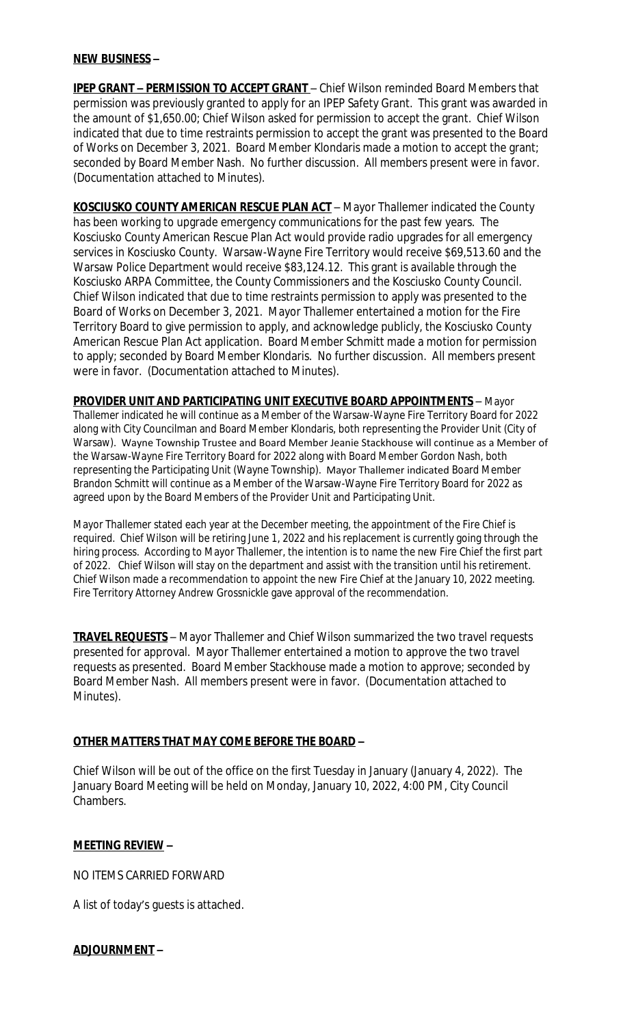#### **NEW BUSINESS –**

**IPEP GRANT - PERMISSION TO ACCEPT GRANT** - Chief Wilson reminded Board Members that permission was previously granted to apply for an IPEP Safety Grant. This grant was awarded in the amount of \$1,650.00; Chief Wilson asked for permission to accept the grant. Chief Wilson indicated that due to time restraints permission to accept the grant was presented to the Board of Works on December 3, 2021. Board Member Klondaris made a motion to accept the grant; seconded by Board Member Nash. No further discussion. All members present were in favor. (Documentation attached to Minutes).

**KOSCIUSKO COUNTY AMERICAN RESCUE PLAN ACT** – Mayor Thallemer indicated the County has been working to upgrade emergency communications for the past few years. The Kosciusko County American Rescue Plan Act would provide radio upgrades for all emergency services in Kosciusko County. Warsaw-Wayne Fire Territory would receive \$69,513.60 and the Warsaw Police Department would receive \$83,124.12. This grant is available through the Kosciusko ARPA Committee, the County Commissioners and the Kosciusko County Council. Chief Wilson indicated that due to time restraints permission to apply was presented to the Board of Works on December 3, 2021. Mayor Thallemer entertained a motion for the Fire Territory Board to give permission to apply, and acknowledge publicly, the Kosciusko County American Rescue Plan Act application. Board Member Schmitt made a motion for permission to apply; seconded by Board Member Klondaris. No further discussion. All members present were in favor. (Documentation attached to Minutes).

**PROVIDER UNIT AND PARTICIPATING UNIT EXECUTIVE BOARD APPOINTMENTS** – Mayor Thallemer indicated he will continue as a Member of the Warsaw-Wayne Fire Territory Board for 2022 along with City Councilman and Board Member Klondaris, both representing the Provider Unit (City of Warsaw). Wayne Township Trustee and Board Member Jeanie Stackhouse will continue as a Member of the Warsaw-Wayne Fire Territory Board for 2022 along with Board Member Gordon Nash, both representing the Participating Unit (Wayne Township). Mayor Thallemer indicated Board Member Brandon Schmitt will continue as a Member of the Warsaw-Wayne Fire Territory Board for 2022 as agreed upon by the Board Members of the Provider Unit and Participating Unit.

Mayor Thallemer stated each year at the December meeting, the appointment of the Fire Chief is required. Chief Wilson will be retiring June 1, 2022 and his replacement is currently going through the hiring process. According to Mayor Thallemer, the intention is to name the new Fire Chief the first part of 2022. Chief Wilson will stay on the department and assist with the transition until his retirement. Chief Wilson made a recommendation to appoint the new Fire Chief at the January 10, 2022 meeting. Fire Territory Attorney Andrew Grossnickle gave approval of the recommendation.

**TRAVEL REQUESTS** – Mayor Thallemer and Chief Wilson summarized the two travel requests presented for approval. Mayor Thallemer entertained a motion to approve the two travel requests as presented. Board Member Stackhouse made a motion to approve; seconded by Board Member Nash. All members present were in favor. (Documentation attached to Minutes).

## **OTHER MATTERS THAT MAY COME BEFORE THE BOARD –**

Chief Wilson will be out of the office on the first Tuesday in January (January 4, 2022). The January Board Meeting will be held on Monday, January 10, 2022, 4:00 PM, City Council Chambers.

## **MEETING REVIEW –**

NO ITEMS CARRIED FORWARD

A list of today's guests is attached.

## **ADJOURNMENT –**